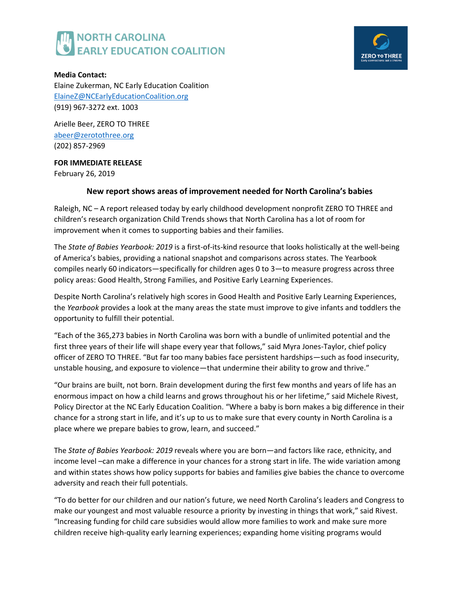



**Media Contact:**  Elaine Zukerman, NC Early Education Coalition [ElaineZ@NCEarlyEducationCoalition.org](mailto:elainez@ncearlyeducationcoalition.org) (919) 967-3272 ext. 1003

Arielle Beer, ZERO TO THREE [abeer@zerotothree.org](mailto:abeer@zerotothree.org) (202) 857-2969

## **FOR IMMEDIATE RELEASE**

February 26, 2019

# **New report shows areas of improvement needed for North Carolina's babies**

Raleigh, NC – A report released today by early childhood development nonprofit ZERO TO THREE and children's research organization Child Trends shows that North Carolina has a lot of room for improvement when it comes to supporting babies and their families.

The *State of Babies Yearbook: 2019* is a first-of-its-kind resource that looks holistically at the well-being of America's babies, providing a national snapshot and comparisons across states. The Yearbook compiles nearly 60 indicators—specifically for children ages 0 to 3—to measure progress across three policy areas: Good Health, Strong Families, and Positive Early Learning Experiences.

Despite North Carolina's relatively high scores in Good Health and Positive Early Learning Experiences, the *Yearbook* provides a look at the many areas the state must improve to give infants and toddlers the opportunity to fulfill their potential.

"Each of the 365,273 babies in North Carolina was born with a bundle of unlimited potential and the first three years of their life will shape every year that follows," said Myra Jones-Taylor, chief policy officer of ZERO TO THREE. "But far too many babies face persistent hardships—such as food insecurity, unstable housing, and exposure to violence—that undermine their ability to grow and thrive."

"Our brains are built, not born. Brain development during the first few months and years of life has an enormous impact on how a child learns and grows throughout his or her lifetime," said Michele Rivest, Policy Director at the NC Early Education Coalition. "Where a baby is born makes a big difference in their chance for a strong start in life, and it's up to us to make sure that every county in North Carolina is a place where we prepare babies to grow, learn, and succeed."

The *State of Babies Yearbook: 2019* reveals where you are born—and factors like race, ethnicity, and income level –can make a difference in your chances for a strong start in life. The wide variation among and within states shows how policy supports for babies and families give babies the chance to overcome adversity and reach their full potentials.

"To do better for our children and our nation's future, we need North Carolina's leaders and Congress to make our youngest and most valuable resource a priority by investing in things that work," said Rivest. "Increasing funding for child care subsidies would allow more families to work and make sure more children receive high-quality early learning experiences; expanding home visiting programs would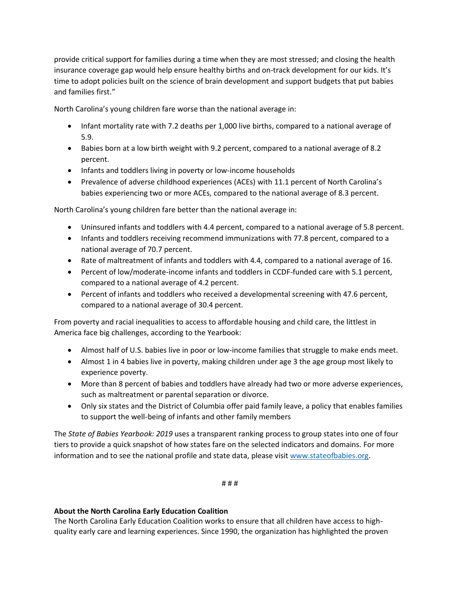provide critical support for families during a time when they are most stressed; and closing the health insurance coverage gap would help ensure healthy births and on-track development for our kids. It's time to adopt policies built on the science of brain development and support budgets that put babies and families first."

North Carolina's young children fare worse than the national average in:

- Infant mortality rate with 7.2 deaths per 1,000 live births, compared to a national average of 5.9.
- Babies born at a low birth weight with 9.2 percent, compared to a national average of 8.2 percent.
- Infants and toddlers living in poverty or low-income households
- Prevalence of adverse childhood experiences (ACEs) with 11.1 percent of North Carolina's babies experiencing two or more ACEs, compared to the national average of 8.3 percent.

North Carolina's young children fare better than the national average in:

- Uninsured infants and toddlers with 4.4 percent, compared to a national average of 5.8 percent.
- Infants and toddlers receiving recommend immunizations with 77.8 percent, compared to a national average of 70.7 percent.
- Rate of maltreatment of infants and toddlers with 4.4, compared to a national average of 16.
- Percent of low/moderate-income infants and toddlers in CCDF-funded care with 5.1 percent, compared to a national average of 4.2 percent.
- Percent of infants and toddlers who received a developmental screening with 47.6 percent, compared to a national average of 30.4 percent.

From poverty and racial inequalities to access to affordable housing and child care, the littlest in America face big challenges, according to the Yearbook:

- Almost half of U.S. babies live in poor or low-income families that struggle to make ends meet.
- Almost 1 in 4 babies live in poverty, making children under age 3 the age group most likely to experience poverty.
- More than 8 percent of babies and toddlers have already had two or more adverse experiences, such as maltreatment or parental separation or divorce.
- Only six states and the District of Columbia offer paid family leave, a policy that enables families to support the well-being of infants and other family members

The *State of Babies Yearbook: 2019* uses a transparent ranking process to group states into one of four tiers to provide a quick snapshot of how states fare on the selected indicators and domains. For more information and to see the national profile and state data, please visit [www.stateofbabies.org.](http://stateofbabies.org/)

# # #

## **About the North Carolina Early Education Coalition**

The North Carolina Early Education Coalition works to ensure that all children have access to highquality early care and learning experiences. Since 1990, the organization has highlighted the proven